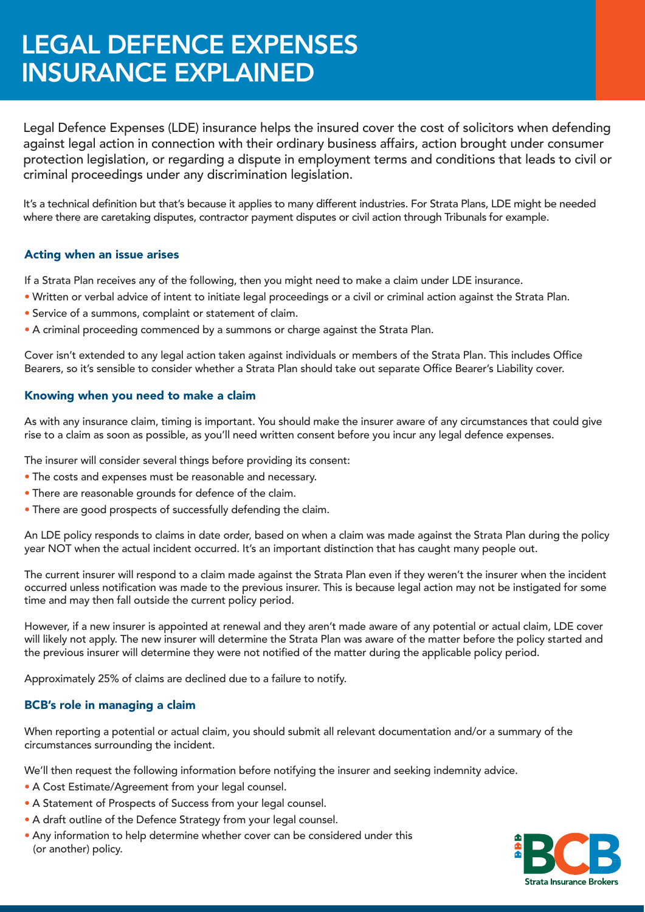# LEGAL DEFENCE EXPENSES INSURANCE EXPLAINED

Legal Defence Expenses (LDE) insurance helps the insured cover the cost of solicitors when defending against legal action in connection with their ordinary business affairs, action brought under consumer protection legislation, or regarding a dispute in employment terms and conditions that leads to civil or criminal proceedings under any discrimination legislation.

It's a technical definition but that's because it applies to many different industries. For Strata Plans, LDE might be needed where there are caretaking disputes, contractor payment disputes or civil action through Tribunals for example.

## Acting when an issue arises

If a Strata Plan receives any of the following, then you might need to make a claim under LDE insurance.

- Written or verbal advice of intent to initiate legal proceedings or a civil or criminal action against the Strata Plan.
- Service of a summons, complaint or statement of claim.
- A criminal proceeding commenced by a summons or charge against the Strata Plan.

Cover isn't extended to any legal action taken against individuals or members of the Strata Plan. This includes Office Bearers, so it's sensible to consider whether a Strata Plan should take out separate Office Bearer's Liability cover.

#### Knowing when you need to make a claim

As with any insurance claim, timing is important. You should make the insurer aware of any circumstances that could give rise to a claim as soon as possible, as you'll need written consent before you incur any legal defence expenses.

The insurer will consider several things before providing its consent:

- The costs and expenses must be reasonable and necessary.
- There are reasonable grounds for defence of the claim.
- There are good prospects of successfully defending the claim.

An LDE policy responds to claims in date order, based on when a claim was made against the Strata Plan during the policy year NOT when the actual incident occurred. It's an important distinction that has caught many people out.

The current insurer will respond to a claim made against the Strata Plan even if they weren't the insurer when the incident occurred unless notification was made to the previous insurer. This is because legal action may not be instigated for some time and may then fall outside the current policy period.

However, if a new insurer is appointed at renewal and they aren't made aware of any potential or actual claim, LDE cover will likely not apply. The new insurer will determine the Strata Plan was aware of the matter before the policy started and the previous insurer will determine they were not notified of the matter during the applicable policy period.

Approximately 25% of claims are declined due to a failure to notify.

## BCB's role in managing a claim

When reporting a potential or actual claim, you should submit all relevant documentation and/or a summary of the circumstances surrounding the incident.

We'll then request the following information before notifying the insurer and seeking indemnity advice.

- A Cost Estimate/Agreement from your legal counsel.
- A Statement of Prospects of Success from your legal counsel.
- A draft outline of the Defence Strategy from your legal counsel.
- Any information to help determine whether cover can be considered under this (or another) policy.